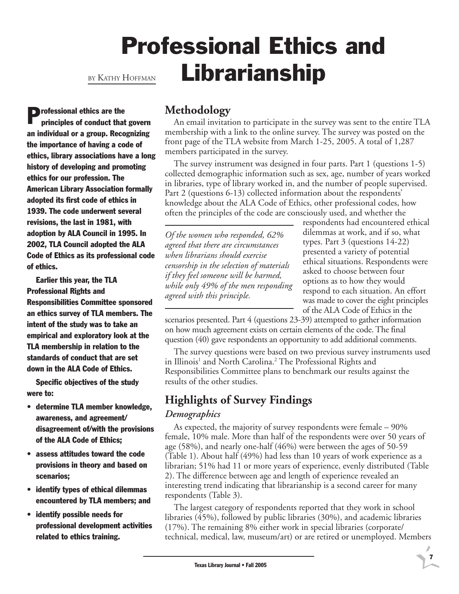## Professional Ethics and Librarianship BY KATHY HOFFMAN

**P**rofessional ethics are the principles of conduct that govern an individual or a group. Recognizing the importance of having a code of ethics, library associations have a long history of developing and promoting ethics for our profession. The American Library Association formally adopted its first code of ethics in 1939. The code underwent several revisions, the last in 1981, with adoption by ALA Council in 1995. In 2002, TLA Council adopted the ALA Code of Ethics as its professional code of ethics.

Earlier this year, the TLA Professional Rights and Responsibilities Committee sponsored an ethics survey of TLA members. The intent of the study was to take an empirical and exploratory look at the TLA membership in relation to the standards of conduct that are set down in the ALA Code of Ethics.

Specific objectives of the study were to:

- determine TLA member knowledge, awareness, and agreement/ disagreement of/with the provisions of the ALA Code of Ethics;
- assess attitudes toward the code provisions in theory and based on scenarios;
- identify types of ethical dilemmas encountered by TLA members; and
- identify possible needs for professional development activities related to ethics training.

## **Methodology**

An email invitation to participate in the survey was sent to the entire TLA membership with a link to the online survey. The survey was posted on the front page of the TLA website from March 1-25, 2005. A total of 1,287 members participated in the survey.

The survey instrument was designed in four parts. Part 1 (questions 1-5) collected demographic information such as sex, age, number of years worked in libraries, type of library worked in, and the number of people supervised. Part 2 (questions 6-13) collected information about the respondents' knowledge about the ALA Code of Ethics, other professional codes, how often the principles of the code are consciously used, and whether the

*Of the women who responded, 62% agreed that there are circumstances when librarians should exercise censorship in the selection of materials if they feel someone will be harmed, while only 49% of the men responding agreed with this principle.*

respondents had encountered ethical dilemmas at work, and if so, what types. Part 3 (questions 14-22) presented a variety of potential ethical situations. Respondents were asked to choose between four options as to how they would respond to each situation. An effort was made to cover the eight principles of the ALA Code of Ethics in the

7

scenarios presented. Part 4 (questions 23-39) attempted to gather information on how much agreement exists on certain elements of the code. The final question (40) gave respondents an opportunity to add additional comments.

The survey questions were based on two previous survey instruments used in Illinois<sup>1</sup> and North Carolina.<sup>2</sup> The Professional Rights and Responsibilities Committee plans to benchmark our results against the results of the other studies.

## **Highlights of Survey Findings**

### *Demographics*

As expected, the majority of survey respondents were female – 90% female, 10% male. More than half of the respondents were over 50 years of age (58%), and nearly one-half (46%) were between the ages of 50-59 (Table 1). About half (49%) had less than 10 years of work experience as a librarian; 51% had 11 or more years of experience, evenly distributed (Table 2). The difference between age and length of experience revealed an interesting trend indicating that librarianship is a second career for many respondents (Table 3).

The largest category of respondents reported that they work in school libraries (45%), followed by public libraries (30%), and academic libraries (17%). The remaining 8% either work in special libraries (corporate/ technical, medical, law, museum/art) or are retired or unemployed. Members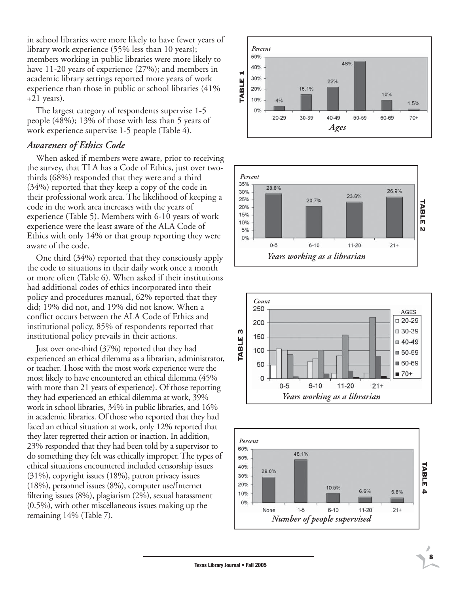in school libraries were more likely to have fewer years of library work experience (55% less than 10 years); members working in public libraries were more likely to have 11-20 years of experience (27%); and members in academic library settings reported more years of work experience than those in public or school libraries (41% +21 years).

The largest category of respondents supervise 1-5 people (48%); 13% of those with less than 5 years of work experience supervise 1-5 people (Table 4).

#### *Awareness of Ethics Code*

When asked if members were aware, prior to receiving the survey, that TLA has a Code of Ethics, just over twothirds (68%) responded that they were and a third (34%) reported that they keep a copy of the code in their professional work area. The likelihood of keeping a code in the work area increases with the years of experience (Table 5). Members with 6-10 years of work experience were the least aware of the ALA Code of Ethics with only 14% or that group reporting they were aware of the code.

One third (34%) reported that they consciously apply the code to situations in their daily work once a month or more often (Table 6). When asked if their institutions had additional codes of ethics incorporated into their policy and procedures manual, 62% reported that they did; 19% did not, and 19% did not know. When a conflict occurs between the ALA Code of Ethics and institutional policy, 85% of respondents reported that institutional policy prevails in their actions.

Just over one-third (37%) reported that they had experienced an ethical dilemma as a librarian, administrator, or teacher. Those with the most work experience were the most likely to have encountered an ethical dilemma (45% with more than 21 years of experience). Of those reporting they had experienced an ethical dilemma at work, 39% work in school libraries, 34% in public libraries, and 16% in academic libraries. Of those who reported that they had faced an ethical situation at work, only 12% reported that they later regretted their action or inaction. In addition, 23% responded that they had been told by a supervisor to do something they felt was ethically improper. The types of ethical situations encountered included censorship issues (31%), copyright issues (18%), patron privacy issues (18%), personnel issues (8%), computer use/Internet filtering issues (8%), plagiarism (2%), sexual harassment (0.5%), with other miscellaneous issues making up the remaining 14% (Table 7).







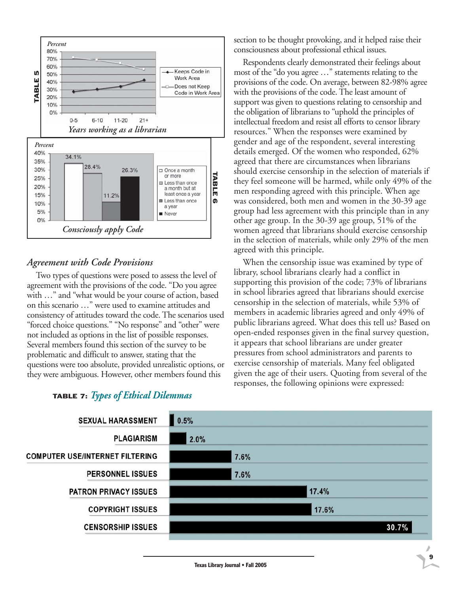

### *Agreement with Code Provisions*

Two types of questions were posed to assess the level of agreement with the provisions of the code. "Do you agree with …" and "what would be your course of action, based on this scenario …" were used to examine attitudes and consistency of attitudes toward the code. The scenarios used "forced choice questions." "No response" and "other" were not included as options in the list of possible responses. Several members found this section of the survey to be problematic and difficult to answer, stating that the questions were too absolute, provided unrealistic options, or they were ambiguous. However, other members found this

# TABLE 7: *Types of Ethical Dilemmas*

section to be thought provoking, and it helped raise their consciousness about professional ethical issues.

Respondents clearly demonstrated their feelings about most of the "do you agree …" statements relating to the provisions of the code. On average, between 82-98% agree with the provisions of the code. The least amount of support was given to questions relating to censorship and the obligation of librarians to "uphold the principles of intellectual freedom and resist all efforts to censor library resources." When the responses were examined by gender and age of the respondent, several interesting details emerged. Of the women who responded, 62% agreed that there are circumstances when librarians should exercise censorship in the selection of materials if they feel someone will be harmed, while only 49% of the men responding agreed with this principle. When age was considered, both men and women in the 30-39 age group had less agreement with this principle than in any other age group. In the 30-39 age group, 51% of the women agreed that librarians should exercise censorship in the selection of materials, while only 29% of the men agreed with this principle.

When the censorship issue was examined by type of library, school librarians clearly had a conflict in supporting this provision of the code; 73% of librarians in school libraries agreed that librarians should exercise censorship in the selection of materials, while 53% of members in academic libraries agreed and only 49% of public librarians agreed. What does this tell us? Based on open-ended responses given in the final survey question, it appears that school librarians are under greater pressures from school administrators and parents to exercise censorship of materials. Many feel obligated given the age of their users. Quoting from several of the responses, the following opinions were expressed:

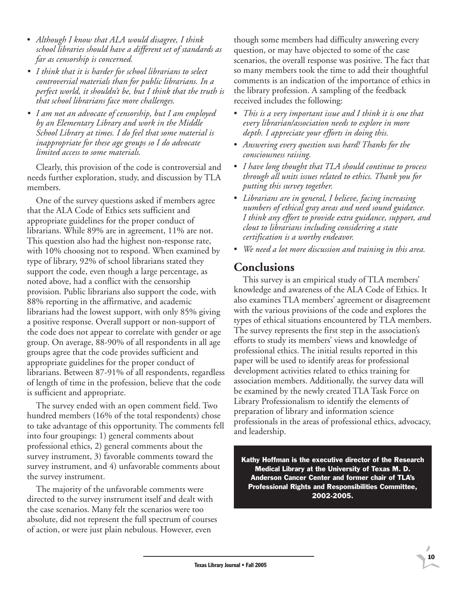- *Although I know that ALA would disagree, I think school libraries should have a different set of standards as far as censorship is concerned.*
- *I think that it is harder for school librarians to select controversial materials than for public librarians. In a perfect world, it shouldn't be, but I think that the truth is that school librarians face more challenges.*
- *I am not an advocate of censorship, but I am employed by an Elementary Library and work in the Middle School Library at times. I do feel that some material is inappropriate for these age groups so I do advocate limited access to some materials.*

Clearly, this provision of the code is controversial and needs further exploration, study, and discussion by TLA members.

One of the survey questions asked if members agree that the ALA Code of Ethics sets sufficient and appropriate guidelines for the proper conduct of librarians. While 89% are in agreement, 11% are not. This question also had the highest non-response rate, with 10% choosing not to respond. When examined by type of library, 92% of school librarians stated they support the code, even though a large percentage, as noted above, had a conflict with the censorship provision. Public librarians also support the code, with 88% reporting in the affirmative, and academic librarians had the lowest support, with only 85% giving a positive response. Overall support or non-support of the code does not appear to correlate with gender or age group. On average, 88-90% of all respondents in all age groups agree that the code provides sufficient and appropriate guidelines for the proper conduct of librarians. Between 87-91% of all respondents, regardless of length of time in the profession, believe that the code is sufficient and appropriate.

The survey ended with an open comment field. Two hundred members (16% of the total respondents) chose to take advantage of this opportunity. The comments fell into four groupings: 1) general comments about professional ethics, 2) general comments about the survey instrument, 3) favorable comments toward the survey instrument, and 4) unfavorable comments about the survey instrument.

The majority of the unfavorable comments were directed to the survey instrument itself and dealt with the case scenarios. Many felt the scenarios were too absolute, did not represent the full spectrum of courses of action, or were just plain nebulous. However, even

though some members had difficulty answering every question, or may have objected to some of the case scenarios, the overall response was positive. The fact that so many members took the time to add their thoughtful comments is an indication of the importance of ethics in the library profession. A sampling of the feedback received includes the following:

- *This is a very important issue and I think it is one that every librarian/association needs to explore in more depth. I appreciate your efforts in doing this.*
- *Answering every question was hard! Thanks for the consciousness raising.*
- *I have long thought that TLA should continue to process through all units issues related to ethics. Thank you for putting this survey together.*
- *Librarians are in general, I believe, facing increasing numbers of ethical gray areas and need sound guidance. I think any effort to provide extra guidance, support, and clout to librarians including considering a state certification is a worthy endeavor.*
- *We need a lot more discussion and training in this area.*

### **Conclusions**

This survey is an empirical study of TLA members' knowledge and awareness of the ALA Code of Ethics. It also examines TLA members' agreement or disagreement with the various provisions of the code and explores the types of ethical situations encountered by TLA members. The survey represents the first step in the association's efforts to study its members' views and knowledge of professional ethics. The initial results reported in this paper will be used to identify areas for professional development activities related to ethics training for association members. Additionally, the survey data will be examined by the newly created TLA Task Force on Library Professionalism to identify the elements of preparation of library and information science professionals in the areas of professional ethics, advocacy, and leadership.

Kathy Hoffman is the executive director of the Research Medical Library at the University of Texas M. D. Anderson Cancer Center and former chair of TLA's Professional Rights and Responsibilities Committee, 2002-2005.